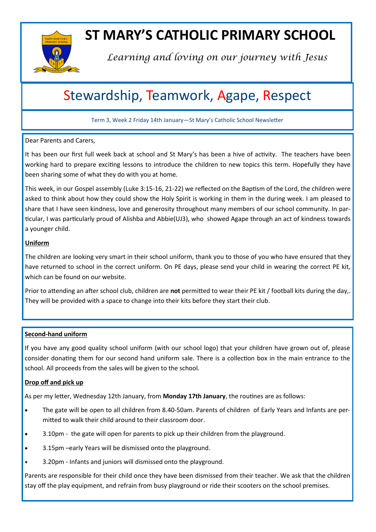

## **ST MARY'S CATHOLIC PRIMARY SCHOOL**

*Learning and loving on our journey with Jesus*

## Stewardship, Teamwork, Agape, Respect

Term 3, Week 2 Friday 14th January—St Mary's Catholic School Newsletter

#### Dear Parents and Carers,

It has been our first full week back at school and St Mary's has been a hive of activity. The teachers have been working hard to prepare exciting lessons to introduce the children to new topics this term. Hopefully they have been sharing some of what they do with you at home.

This week, in our Gospel assembly (Luke 3:15-16, 21-22) we reflected on the Baptism of the Lord, the children were asked to think about how they could show the Holy Spirit is working in them in the during week. I am pleased to share that I have seen kindness, love and generosity throughout many members of our school community. In particular, I was particularly proud of Alishba and Abbie(UJ3), who showed Agape through an act of kindness towards a younger child.

#### **Uniform**

The children are looking very smart in their school uniform, thank you to those of you who have ensured that they have returned to school in the correct uniform. On PE days, please send your child in wearing the correct PE kit, which can be found on our website.

Prior to attending an after school club, children are **not** permitted to wear their PE kit / football kits during the day,. They will be provided with a space to change into their kits before they start their club.

#### **Second-hand uniform**

If you have any good quality school uniform (with our school logo) that your children have grown out of, please consider donating them for our second hand uniform sale. There is a collection box in the main entrance to the school. All proceeds from the sales will be given to the school.

#### **Drop off and pick up**

As per my letter, Wednesday 12th January, from **Monday 17th January**, the routines are as follows:

- The gate will be open to all children from 8.40-50am. Parents of children of Early Years and Infants are permitted to walk their child around to their classroom door.
- 3.10pm the gate will open for parents to pick up their children from the playground.
- 3.15pm –early Years will be dismissed onto the playground.
- 3.20pm Infants and juniors will dismissed onto the playground.

Parents are responsible for their child once they have been dismissed from their teacher. We ask that the children stay off the play equipment, and refrain from busy playground or ride their scooters on the school premises.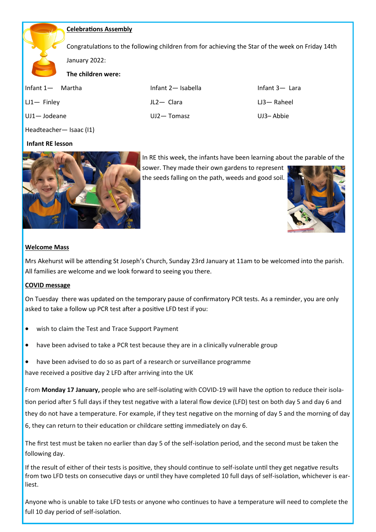#### **Celebrations Assembly**

Congratulations to the following children from for achieving the Star of the week on Friday 14th

January 2022:

**The children were:**

| Infant 1 — Martha | Infant 2- Isabella | Infant $3-$ Lara |
|-------------------|--------------------|------------------|
| $LJ1 -$ Finley    | JL2-Clara          | $L3 -$ Raheel    |
| UJ1-Jodeane       | $UJ2 - Tomasz$     | UJ3-Abbie        |

Headteacher— Isaac (I1)

#### **Infant RE lesson**



In RE this week, the infants have been learning about the parable of the

sower. They made their own gardens to represent the seeds falling on the path, weeds and good soil.



#### **Welcome Mass**

Mrs Akehurst will be attending St Joseph's Church, Sunday 23rd January at 11am to be welcomed into the parish. All families are welcome and we look forward to seeing you there.

#### **COVID message**

On Tuesday there was updated on the temporary pause of confirmatory PCR tests. As a reminder, you are only asked to take a follow up PCR test after a positive LFD test if you:

- wish to claim the Test and Trace Support Payment
- have been advised to take a PCR test because they are in a clinically vulnerable group
- have been advised to do so as part of a research or surveillance programme

have received a positive day 2 LFD after arriving into the UK

From **Monday 17 January,** people who are self-isolating with COVID-19 will have the option to reduce their isolation period after 5 full days if they test negative with a lateral flow device (LFD) test on both day 5 and day 6 and they do not have a temperature. For example, if they test negative on the morning of day 5 and the morning of day 6, they can return to their education or childcare setting immediately on day 6.

The first test must be taken no earlier than day 5 of the self-isolation period, and the second must be taken the following day.

If the result of either of their tests is positive, they should continue to self-isolate until they get negative results from two LFD tests on consecutive days or until they have completed 10 full days of self-isolation, whichever is earliest.

Anyone who is unable to take LFD tests or anyone who continues to have a temperature will need to complete the full 10 day period of self-isolation.